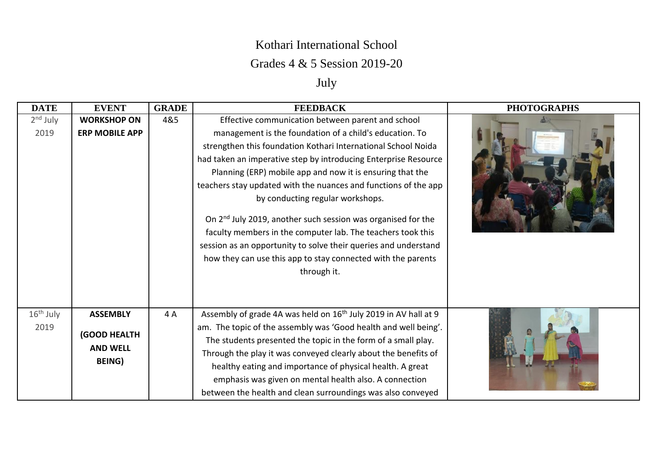## Kothari International School

## Grades 4 & 5 Session 2019-20

## July

| <b>DATE</b> | <b>EVENT</b>          | <b>GRADE</b> | <b>FEEDBACK</b>                                                                                                                                                                                                                                                                           | <b>PHOTOGRAPHS</b> |
|-------------|-----------------------|--------------|-------------------------------------------------------------------------------------------------------------------------------------------------------------------------------------------------------------------------------------------------------------------------------------------|--------------------|
| $2nd$ July  | <b>WORKSHOP ON</b>    | 4&5          | Effective communication between parent and school                                                                                                                                                                                                                                         |                    |
| 2019        | <b>ERP MOBILE APP</b> |              | management is the foundation of a child's education. To                                                                                                                                                                                                                                   |                    |
|             |                       |              | strengthen this foundation Kothari International School Noida                                                                                                                                                                                                                             |                    |
|             |                       |              | had taken an imperative step by introducing Enterprise Resource                                                                                                                                                                                                                           |                    |
|             |                       |              | Planning (ERP) mobile app and now it is ensuring that the                                                                                                                                                                                                                                 |                    |
|             |                       |              | teachers stay updated with the nuances and functions of the app                                                                                                                                                                                                                           |                    |
|             |                       |              | by conducting regular workshops.                                                                                                                                                                                                                                                          |                    |
|             |                       |              | On 2 <sup>nd</sup> July 2019, another such session was organised for the<br>faculty members in the computer lab. The teachers took this<br>session as an opportunity to solve their queries and understand<br>how they can use this app to stay connected with the parents<br>through it. |                    |
| $16th$ July | <b>ASSEMBLY</b>       | 4 A          | Assembly of grade 4A was held on 16 <sup>th</sup> July 2019 in AV hall at 9                                                                                                                                                                                                               |                    |
| 2019        |                       |              | am. The topic of the assembly was 'Good health and well being'.                                                                                                                                                                                                                           |                    |
|             | (GOOD HEALTH          |              | The students presented the topic in the form of a small play.                                                                                                                                                                                                                             |                    |
|             | <b>AND WELL</b>       |              | Through the play it was conveyed clearly about the benefits of                                                                                                                                                                                                                            |                    |
|             | BEING)                |              | healthy eating and importance of physical health. A great                                                                                                                                                                                                                                 |                    |
|             |                       |              | emphasis was given on mental health also. A connection                                                                                                                                                                                                                                    |                    |
|             |                       |              | between the health and clean surroundings was also conveyed                                                                                                                                                                                                                               |                    |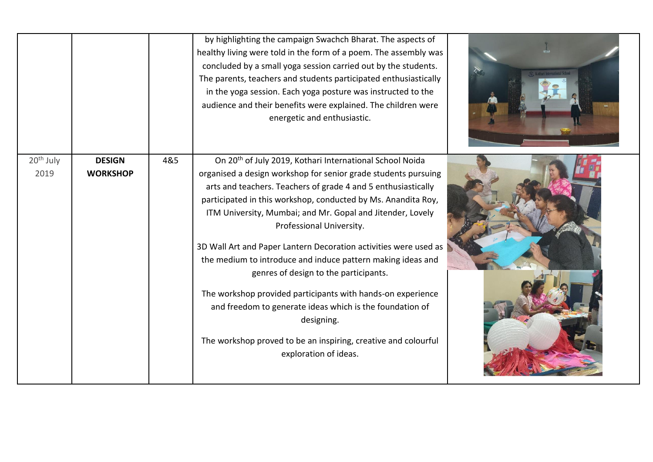|                               |                                  |     | by highlighting the campaign Swachch Bharat. The aspects of<br>healthy living were told in the form of a poem. The assembly was<br>concluded by a small yoga session carried out by the students.<br>The parents, teachers and students participated enthusiastically<br>in the yoga session. Each yoga posture was instructed to the<br>audience and their benefits were explained. The children were<br>energetic and enthusiastic.                                                                                                                                                                                                                                                                                                                                              |  |
|-------------------------------|----------------------------------|-----|------------------------------------------------------------------------------------------------------------------------------------------------------------------------------------------------------------------------------------------------------------------------------------------------------------------------------------------------------------------------------------------------------------------------------------------------------------------------------------------------------------------------------------------------------------------------------------------------------------------------------------------------------------------------------------------------------------------------------------------------------------------------------------|--|
| 20 <sup>th</sup> July<br>2019 | <b>DESIGN</b><br><b>WORKSHOP</b> | 4&5 | On 20 <sup>th</sup> of July 2019, Kothari International School Noida<br>organised a design workshop for senior grade students pursuing<br>arts and teachers. Teachers of grade 4 and 5 enthusiastically<br>participated in this workshop, conducted by Ms. Anandita Roy,<br>ITM University, Mumbai; and Mr. Gopal and Jitender, Lovely<br>Professional University.<br>3D Wall Art and Paper Lantern Decoration activities were used as<br>the medium to introduce and induce pattern making ideas and<br>genres of design to the participants.<br>The workshop provided participants with hands-on experience<br>and freedom to generate ideas which is the foundation of<br>designing.<br>The workshop proved to be an inspiring, creative and colourful<br>exploration of ideas. |  |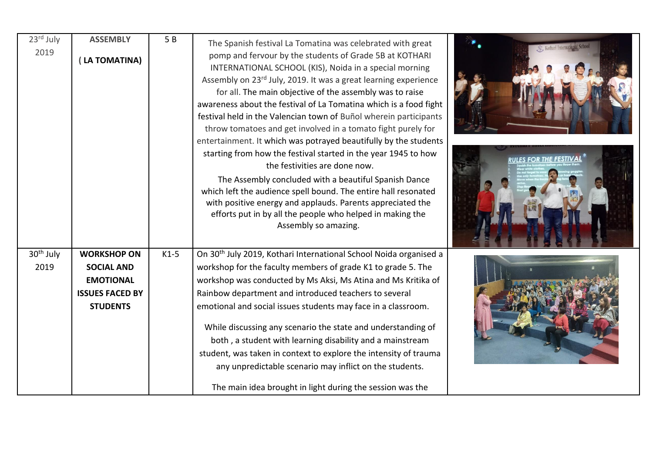| 23rd July                     | <b>ASSEMBLY</b>                         | 5B     | The Spanish festival La Tomatina was celebrated with great                                                                                                                                                                                                                                                                                                                                                                                                                                                                                                                                                                                                                                                                                                                                                                                                                                                      |  |
|-------------------------------|-----------------------------------------|--------|-----------------------------------------------------------------------------------------------------------------------------------------------------------------------------------------------------------------------------------------------------------------------------------------------------------------------------------------------------------------------------------------------------------------------------------------------------------------------------------------------------------------------------------------------------------------------------------------------------------------------------------------------------------------------------------------------------------------------------------------------------------------------------------------------------------------------------------------------------------------------------------------------------------------|--|
| 2019                          | LA TOMATINA)                            |        | pomp and fervour by the students of Grade 5B at KOTHARI<br>INTERNATIONAL SCHOOL (KIS), Noida in a special morning<br>Assembly on 23rd July, 2019. It was a great learning experience<br>for all. The main objective of the assembly was to raise<br>awareness about the festival of La Tomatina which is a food fight<br>festival held in the Valencian town of Buñol wherein participants<br>throw tomatoes and get involved in a tomato fight purely for<br>entertainment. It which was potrayed beautifully by the students<br>starting from how the festival started in the year 1945 to how<br>the festivities are done now.<br>The Assembly concluded with a beautiful Spanish Dance<br>which left the audience spell bound. The entire hall resonated<br>with positive energy and applauds. Parents appreciated the<br>efforts put in by all the people who helped in making the<br>Assembly so amazing. |  |
| 30 <sup>th</sup> July<br>2019 | <b>WORKSHOP ON</b><br><b>SOCIAL AND</b> | $K1-5$ | On 30 <sup>th</sup> July 2019, Kothari International School Noida organised a<br>workshop for the faculty members of grade K1 to grade 5. The                                                                                                                                                                                                                                                                                                                                                                                                                                                                                                                                                                                                                                                                                                                                                                   |  |
|                               | <b>EMOTIONAL</b>                        |        | workshop was conducted by Ms Aksi, Ms Atina and Ms Kritika of                                                                                                                                                                                                                                                                                                                                                                                                                                                                                                                                                                                                                                                                                                                                                                                                                                                   |  |
|                               | <b>ISSUES FACED BY</b>                  |        | Rainbow department and introduced teachers to several                                                                                                                                                                                                                                                                                                                                                                                                                                                                                                                                                                                                                                                                                                                                                                                                                                                           |  |
|                               | <b>STUDENTS</b>                         |        | emotional and social issues students may face in a classroom.                                                                                                                                                                                                                                                                                                                                                                                                                                                                                                                                                                                                                                                                                                                                                                                                                                                   |  |
|                               |                                         |        | While discussing any scenario the state and understanding of                                                                                                                                                                                                                                                                                                                                                                                                                                                                                                                                                                                                                                                                                                                                                                                                                                                    |  |
|                               |                                         |        | both, a student with learning disability and a mainstream                                                                                                                                                                                                                                                                                                                                                                                                                                                                                                                                                                                                                                                                                                                                                                                                                                                       |  |
|                               |                                         |        | student, was taken in context to explore the intensity of trauma                                                                                                                                                                                                                                                                                                                                                                                                                                                                                                                                                                                                                                                                                                                                                                                                                                                |  |
|                               |                                         |        | any unpredictable scenario may inflict on the students.                                                                                                                                                                                                                                                                                                                                                                                                                                                                                                                                                                                                                                                                                                                                                                                                                                                         |  |
|                               |                                         |        | The main idea brought in light during the session was the                                                                                                                                                                                                                                                                                                                                                                                                                                                                                                                                                                                                                                                                                                                                                                                                                                                       |  |